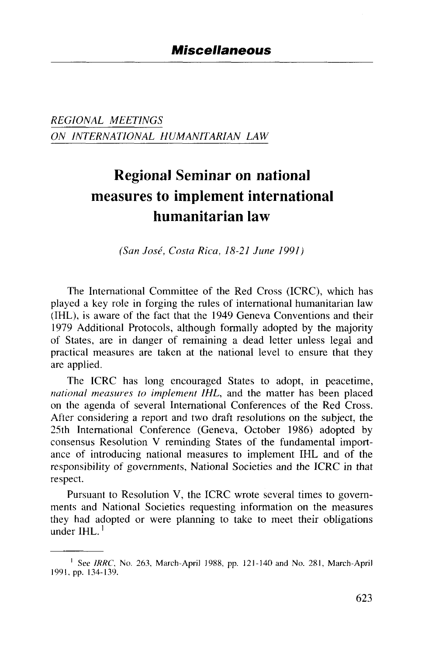*REGIONAL MEETINGS ON INTERNATIONAL HUMANITARIAN LAW*

## Regional Seminar on national measures to implement international humanitarian law

*(San Jose, Costa Rica, 18-21 June 1991)*

The International Committee of the Red Cross (ICRC), which has played a key role in forging the rules of international humanitarian law (IHL), is aware of the fact that the 1949 Geneva Conventions and their 1979 Additional Protocols, although formally adopted by the majority of States, are in danger of remaining a dead letter unless legal and practical measures are taken at the national level to ensure that they are applied.

The ICRC has long encouraged States to adopt, in peacetime, *national measures to implement IHL,* and the matter has been placed on the agenda of several International Conferences of the Red Cross. After considering a report and two draft resolutions on the subject, the 25th International Conference (Geneva, October 1986) adopted by consensus Resolution V reminding States of the fundamental importance of introducing national measures to implement IHL and of the responsibility of governments, National Societies and the ICRC in that respect.

Pursuant to Resolution V, the ICRC wrote several times to governments and National Societies requesting information on the measures they had adopted or were planning to take to meet their obligations under IHL.<sup>1</sup>

<sup>&</sup>lt;sup>1</sup> See IRRC, No. 263, March-April 1988, pp. 121-140 and No. 281, March-April 1991, pp. 134-139.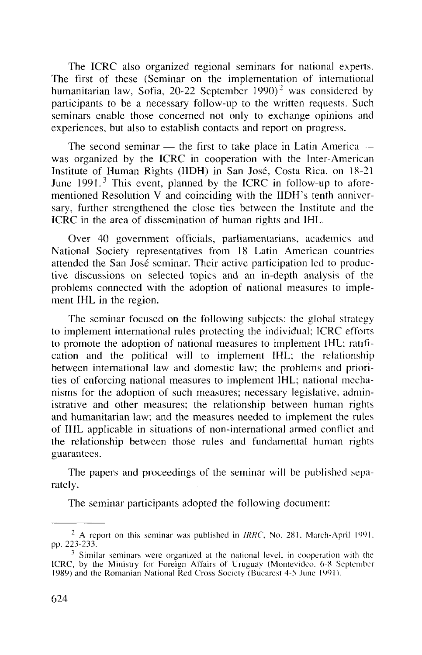The ICRC also organized regional seminars for national experts. The first of these (Seminar on the implementation of international humanitarian law, Sofia, 20-22 September 1990)<sup>2</sup> was considered by participants to be a necessary follow-up to the written requests. Such seminars enable those concerned not only to exchange opinions and experiences, but also to establish contacts and report on progress.

The second seminar — the first to take place in Latin America was organized by the ICRC in cooperation with the Inter-American Institute of Human Rights (IIDH) in San Jose, Costa Rica, on 18-21 June  $1991<sup>3</sup>$  This event, planned by the ICRC in follow-up to aforementioned Resolution V and coinciding with the IIDH's tenth anniversary, further strengthened the close ties between the Institute and the ICRC in the area of dissemination of human rights and IHL.

Over 40 government officials, parliamentarians, academics and National Society representatives from 18 Latin American countries attended the San Jose seminar. Their active participation led to productive discussions on selected topics and an in-depth analysis of the problems connected with the adoption of national measures to implement IHL in the region.

The seminar focused on the following subjects: the global strategy to implement international rules protecting the individual; ICRC efforts to promote the adoption of national measures to implement IHL; ratification and the political will to implement IHL; the relationship between international law and domestic law; the problems and priorities of enforcing national measures to implement IHL; national mechanisms for the adoption of such measures; necessary legislative, administrative and other measures; the relationship between human rights and humanitarian law; and the measures needed to implement the rules of IHL applicable in situations of non-international armed conflict and the relationship between those rules and fundamental human rights guarantees.

The papers and proceedings of the seminar will be published separately.

The seminar participants adopted the following document:

<sup>2</sup> A report on this seminar was published in *IRRC,* No. 281. March-April 1991. pp. 223-233.

<sup>&</sup>lt;sup>3</sup> Similar seminars were organized at the national level, in cooperation with the ICRC, by the Ministry for Foreign Affairs of Uruguay (Montevideo, 6-8 September 1989) and the Romanian National Red Cross Society (Bucarcst 4-5 June 1991).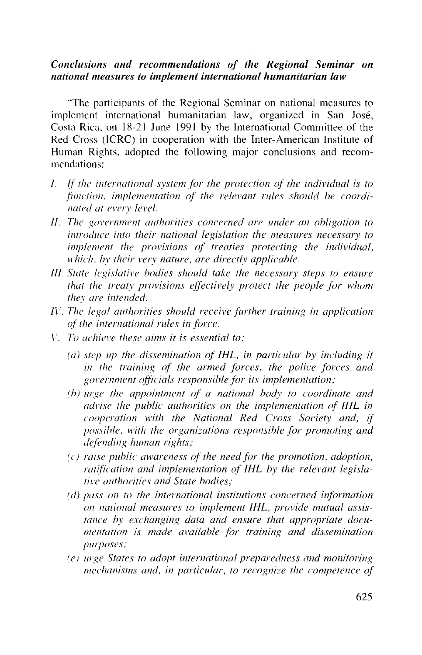## *Conclusions and recommendations of the Regional Seminar on national measures to implement international humanitarian law*

"The participants of the Regional Seminar on national measures to implement international humanitarian law, organized in San Jose, Costa Rica, on 18-21 June 1991 by the International Committee of the Red Cross (ICRC) in cooperation with the Inter-American Institute of Human Rights, adopted the following major conclusions and recommendations:

- /. //' *the international system for the protection of the individual is to function, implementation of the relevant rules should be coordinated at every level.*
- *II. The government authorities concerned are under an obligation to introduce into their national legislation the measures necessary to implement the provisions of treaties protecting the individual, which, by their very nature, are directly applicable.*
- *III. State legislative bodies should take the necessary steps to ensure that the treaty provisions effectively protect the people for whom they are intended.*
- *I\'. The legal authorities should receive further training in application of the international rules in force.*
- *V. To achieve these aims it is essential to:*
	- *(a) step up the dissemination of IHL, in particular by including it in the training of the armed forces, the police forces and government officials responsible for its implementation;*
	- *(b) urge the appointment of a national body to coordinate and advise the public authorities on the implementation of IHL in cooperation with the National Red Cross Society and, if possible, with the organizations responsible for promoting and defending human rights;*
	- *(c) raise public awareness of the need for the promotion, adoption, ratification and implementation of IHL by the relevant legislative authorities and State bodies;*
	- *(d) pass on to the international institutions concerned information on national measures to implement IHL, provide mutual assistance by exchanging data and ensure that appropriate documentation is made available for training and dissemination purposes;*
	- *(e) urge States to adopt international preparedness and monitoring mechanisms and, in particular, to recognize the competence of*